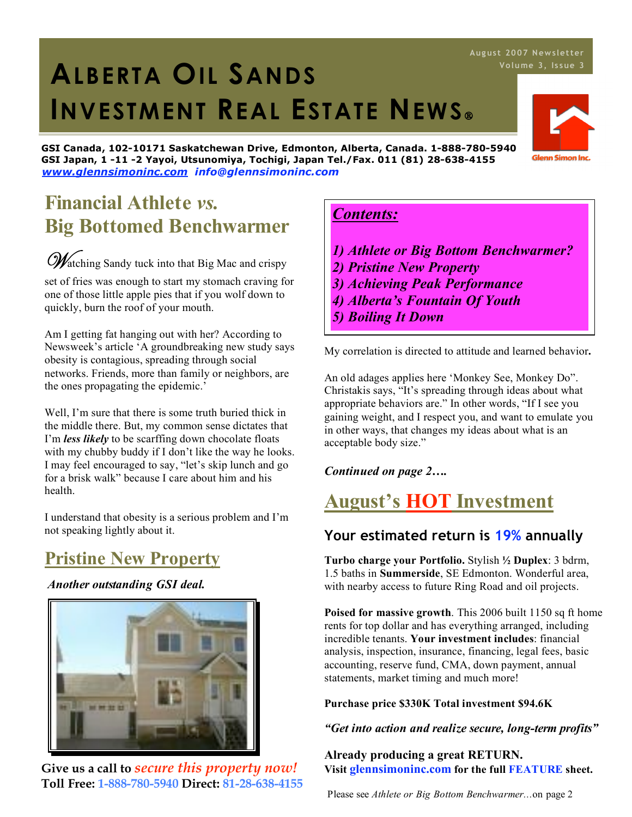# 1. **ALBERTA OIL SANDS INVESTMENT REAL ESTATE NEWS**

**GSI Canada, 102-10171 Saskatchewan Drive, Edmonton, Alberta, Canada. 1-888-780-5940 GSI Japan, 1 -11 -2 Yayoi, Utsunomiya, Tochigi, Japan Tel./Fax. 011 (81) 28-638-4155** *www.glennsimoninc.com info@glennsimoninc.com*

### **Financial Athlete** *vs.* **Big Bottomed Benchwarmer**

Watching Sandy tuck into that Big Mac and crispy

set of fries was enough to start my stomach craving for one of those little apple pies that if you wolf down to quickly, burn the roof of your mouth.

Am I getting fat hanging out with her? According to Newsweek's article 'A groundbreaking new study says obesity is contagious, spreading through social networks. Friends, more than family or neighbors, are the ones propagating the epidemic.'

Well, I'm sure that there is some truth buried thick in the middle there. But, my common sense dictates that I'm *less likely* to be scarffing down chocolate floats with my chubby buddy if I don't like the way he looks. I may feel encouraged to say, "let's skip lunch and go for a brisk walk" because I care about him and his health.

I understand that obesity is a serious problem and I'm not speaking lightly about it.

# **Pristine New Property**

*Another outstanding GSI deal.*



**Give us a call to** *secure this property now!* **Toll Free: 1-888-780-5940 Direct: 81-28-638-4155**

### *Contents:*

- *1) Athlete or Big Bottom Benchwarmer?*
- *2) Pristine New Property*
- *3) Achieving Peak Performance*
- *4) Alberta's Fountain Of Youth*
- *5) Boiling It Down*

My correlation is directed to attitude and learned behavior**.**

An old adages applies here 'Monkey See, Monkey Do". Christakis says, "It's spreading through ideas about what appropriate behaviors are." In other words, "If I see you gaining weight, and I respect you, and want to emulate you in other ways, that changes my ideas about what is an acceptable body size."

*Continued on page 2….*

# **August's HOT Investment**

### **Your estimated return is 19% annually**

**Turbo charge your Portfolio.** Stylish **½ Duplex**: 3 bdrm, 1.5 baths in **Summerside**, SE Edmonton. Wonderful area, with nearby access to future Ring Road and oil projects.

**Poised for massive growth**. This 2006 built 1150 sq ft home rents for top dollar and has everything arranged, including incredible tenants. **Your investment includes**: financial analysis, inspection, insurance, financing, legal fees, basic accounting, reserve fund, CMA, down payment, annual statements, market timing and much more!

**Purchase price \$330K Total investment \$94.6K**

*"Get into action and realize secure, long-term profits"*

**Already producing a great RETURN. Visit glennsimoninc.com for the full FEATURE sheet.**

Please see *Athlete or Big Bottom Benchwarmer...*on page 2

# **Aug us t 2007 News letter**

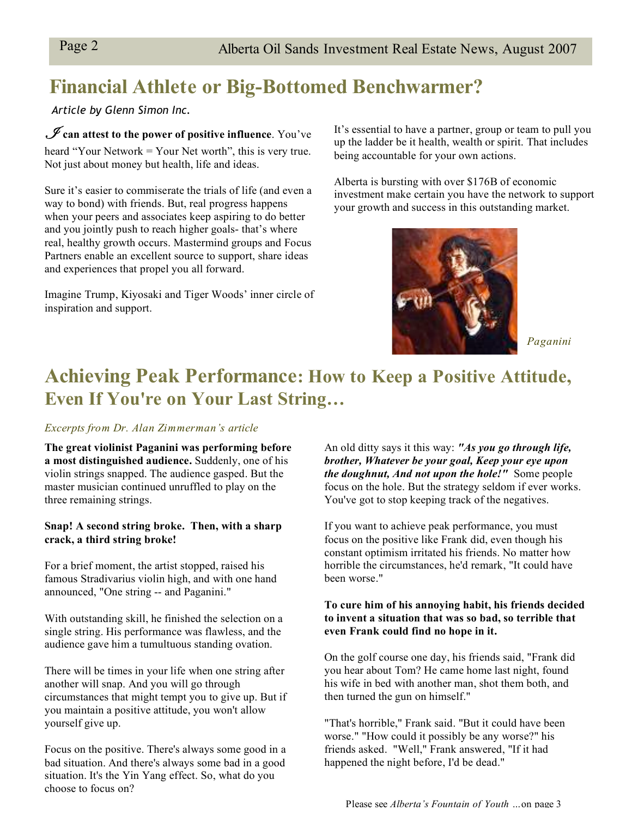# **Financial Athlete or Big-Bottomed Benchwarmer?**

*Article by Glenn Simon Inc.*

I **can attest to the power of positive influence**. You've heard "Your Network = Your Net worth", this is very true. Not just about money but health, life and ideas.

Sure it's easier to commiserate the trials of life (and even a way to bond) with friends. But, real progress happens when your peers and associates keep aspiring to do better and you jointly push to reach higher goals- that's where real, healthy growth occurs. Mastermind groups and Focus Partners enable an excellent source to support, share ideas and experiences that propel you all forward.

Imagine Trump, Kiyosaki and Tiger Woods' inner circle of inspiration and support.

It's essential to have a partner, group or team to pull you up the ladder be it health, wealth or spirit. That includes being accountable for your own actions.

Alberta is bursting with over \$176B of economic investment make certain you have the network to support your growth and success in this outstanding market.



*Paganini*

## **Achieving Peak Performance: How to Keep a Positive Attitude, Even If You're on Your Last String…**

#### *Excerpts from Dr. Alan Zimmerman's article*

**The great violinist Paganini was performing before a most distinguished audience.** Suddenly, one of his violin strings snapped. The audience gasped. But the master musician continued unruffled to play on the three remaining strings.

#### **Snap! A second string broke. Then, with a sharp crack, a third string broke!**

For a brief moment, the artist stopped, raised his famous Stradivarius violin high, and with one hand announced, "One string -- and Paganini."

With outstanding skill, he finished the selection on a single string. His performance was flawless, and the audience gave him a tumultuous standing ovation.

There will be times in your life when one string after another will snap. And you will go through circumstances that might tempt you to give up. But if you maintain a positive attitude, you won't allow yourself give up.

Focus on the positive. There's always some good in a bad situation. And there's always some bad in a good situation. It's the Yin Yang effect. So, what do you choose to focus on?

An old ditty says it this way: *"As you go through life, brother, Whatever be your goal, Keep your eye upon the doughnut, And not upon the hole!"* Some people focus on the hole. But the strategy seldom if ever works. You've got to stop keeping track of the negatives.

If you want to achieve peak performance, you must focus on the positive like Frank did, even though his constant optimism irritated his friends. No matter how horrible the circumstances, he'd remark, "It could have been worse."

#### **To cure him of his annoying habit, his friends decided to invent a situation that was so bad, so terrible that even Frank could find no hope in it.**

On the golf course one day, his friends said, "Frank did you hear about Tom? He came home last night, found his wife in bed with another man, shot them both, and then turned the gun on himself."

"That's horrible," Frank said. "But it could have been worse." "How could it possibly be any worse?" his friends asked. "Well," Frank answered, "If it had happened the night before, I'd be dead."

Please see *Alberta's Fountain of Youth …*on page 3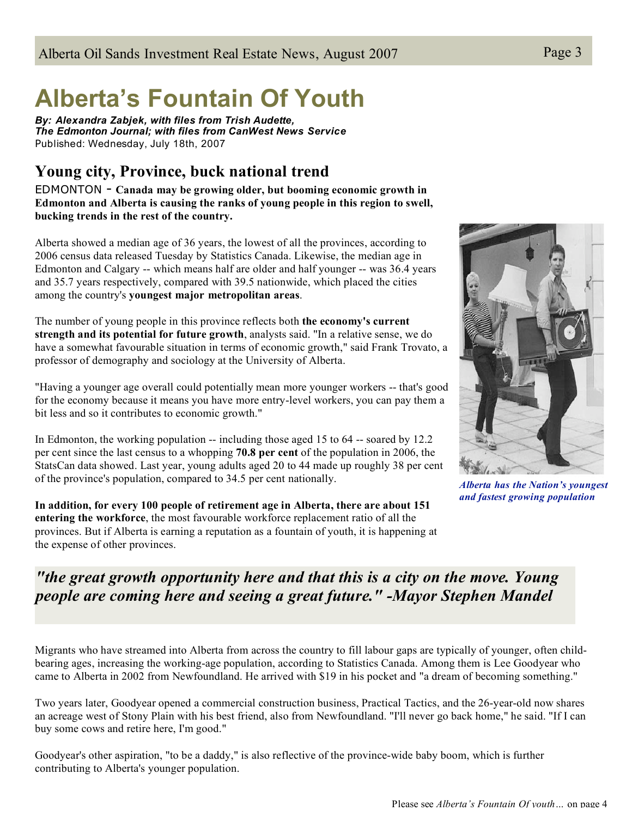# **Alberta's Fountain Of Youth**

*By: Alexandra Zabjek, with files from Trish Audette, The Edmonton Journal; with files from CanWest News Service* Published: Wednesday, July 18th, 2007

### **Young city, Province, buck national trend**

EDMONTON - **Canada may be growing older, but booming economic growth in Edmonton and Alberta is causing the ranks of young people in this region to swell, bucking trends in the rest of the country.**

Alberta showed a median age of 36 years, the lowest of all the provinces, according to 2006 census data released Tuesday by Statistics Canada. Likewise, the median age in Edmonton and Calgary -- which means half are older and half younger -- was 36.4 years and 35.7 years respectively, compared with 39.5 nationwide, which placed the cities among the country's **youngest major metropolitan areas**.

The number of young people in this province reflects both **the economy's current strength and its potential for future growth**, analysts said. "In a relative sense, we do have a somewhat favourable situation in terms of economic growth," said Frank Trovato, a professor of demography and sociology at the University of Alberta.

"Having a younger age overall could potentially mean more younger workers -- that's good for the economy because it means you have more entry-level workers, you can pay them a bit less and so it contributes to economic growth."

In Edmonton, the working population -- including those aged 15 to 64 -- soared by 12.2 per cent since the last census to a whopping **70.8 per cent** of the population in 2006, the StatsCan data showed. Last year, young adults aged 20 to 44 made up roughly 38 per cent of the province's population, compared to 34.5 per cent nationally.

**In addition, for every 100 people of retirement age in Alberta, there are about 151 entering the workforce**, the most favourable workforce replacement ratio of all the provinces. But if Alberta is earning a reputation as a fountain of youth, it is happening at the expense of other provinces.



*Alberta has the Nation's youngest and fastest growing population*

### *"the great growth opportunity here and that this is a city on the move. Young people are coming here and seeing a great future." -Mayor Stephen Mandel*

Migrants who have streamed into Alberta from across the country to fill labour gaps are typically of younger, often childbearing ages, increasing the working-age population, according to Statistics Canada. Among them is Lee Goodyear who came to Alberta in 2002 from Newfoundland. He arrived with \$19 in his pocket and "a dream of becoming something."

Two years later, Goodyear opened a commercial construction business, Practical Tactics, and the 26-year-old now shares an acreage west of Stony Plain with his best friend, also from Newfoundland. "I'll never go back home," he said. "If I can buy some cows and retire here, I'm good."

Goodyear's other aspiration, "to be a daddy," is also reflective of the province-wide baby boom, which is further contributing to Alberta's younger population.